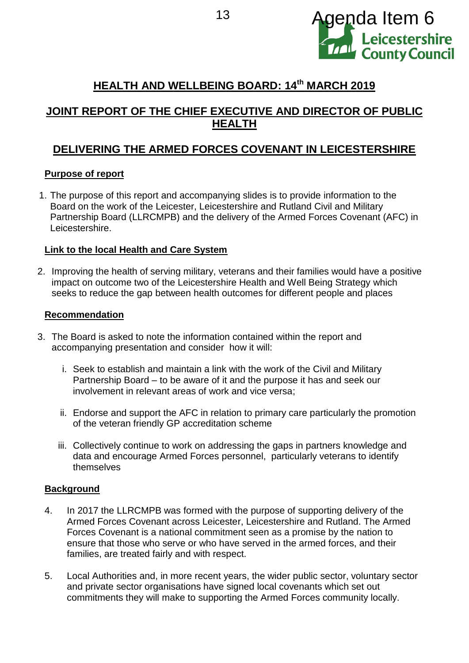

# **HEALTH AND WELLBEING BOARD: 14th MARCH 2019**

## **JOINT REPORT OF THE CHIEF EXECUTIVE AND DIRECTOR OF PUBLIC HEALTH**

## **DELIVERING THE ARMED FORCES COVENANT IN LEICESTERSHIRE**

### **Purpose of report**

1. The purpose of this report and accompanying slides is to provide information to the Board on the work of the Leicester, Leicestershire and Rutland Civil and Military Partnership Board (LLRCMPB) and the delivery of the Armed Forces Covenant (AFC) in Leicestershire.

### **Link to the local Health and Care System**

2. Improving the health of serving military, veterans and their families would have a positive impact on outcome two of the Leicestershire Health and Well Being Strategy which seeks to reduce the gap between health outcomes for different people and places

### **Recommendation**

- 3. The Board is asked to note the information contained within the report and accompanying presentation and consider how it will:
	- i. Seek to establish and maintain a link with the work of the Civil and Military Partnership Board – to be aware of it and the purpose it has and seek our involvement in relevant areas of work and vice versa;
	- ii. Endorse and support the AFC in relation to primary care particularly the promotion of the veteran friendly GP accreditation scheme
	- iii. Collectively continue to work on addressing the gaps in partners knowledge and data and encourage Armed Forces personnel, particularly veterans to identify themselves

## **Background**

- 4. In 2017 the LLRCMPB was formed with the purpose of supporting delivery of the Armed Forces Covenant across Leicester, Leicestershire and Rutland. The Armed Forces Covenant is a national commitment seen as a promise by the nation to ensure that those who serve or who have served in the armed forces, and their families, are treated fairly and with respect.
- 5. Local Authorities and, in more recent years, the wider public sector, voluntary sector and private sector organisations have signed local covenants which set out commitments they will make to supporting the Armed Forces community locally.